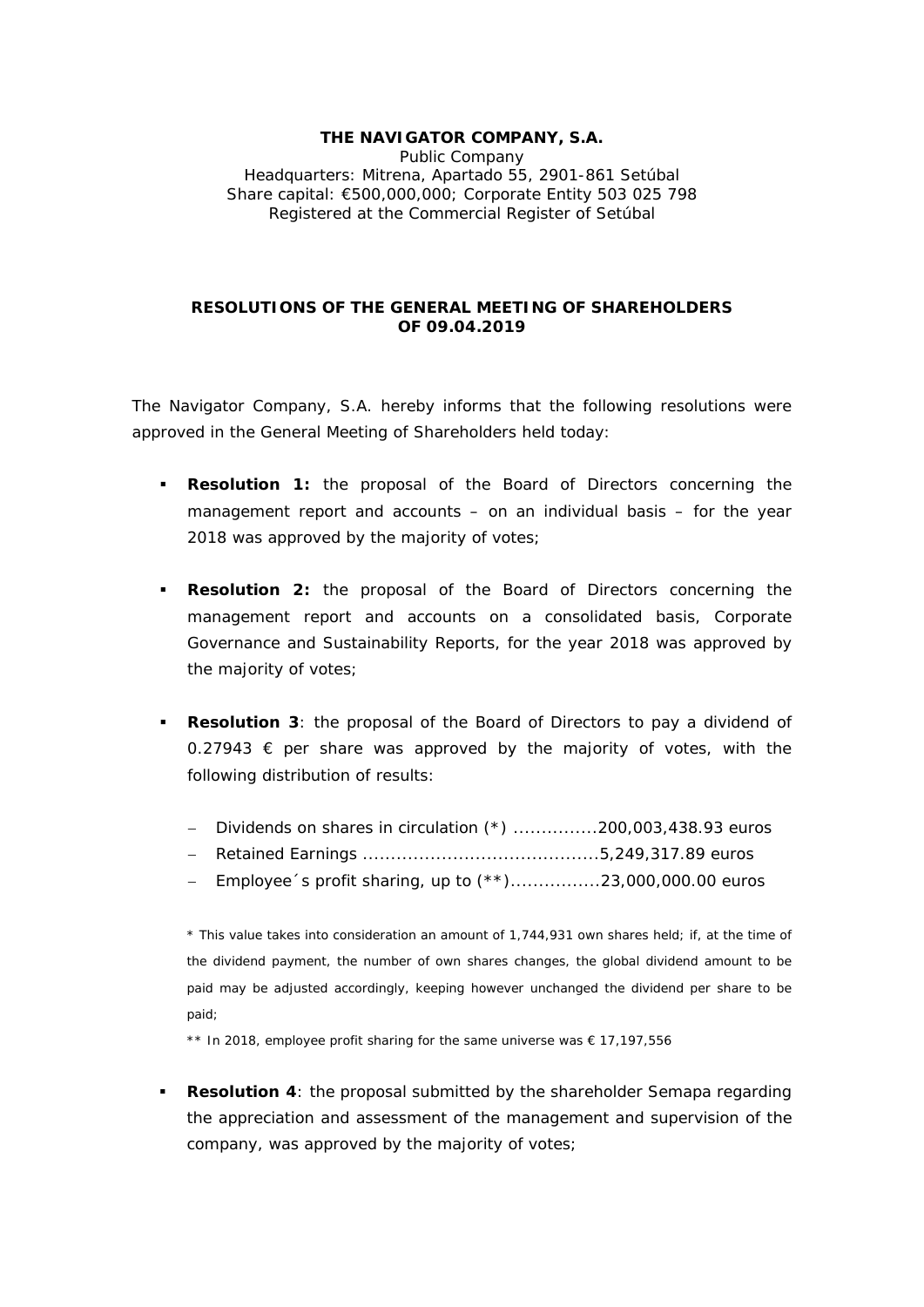## **THE NAVIGATOR COMPANY, S.A.**  Public Company Headquarters: Mitrena, Apartado 55, 2901-861 Setúbal Share capital: €500,000,000; Corporate Entity 503 025 798 Registered at the Commercial Register of Setúbal

## **RESOLUTIONS OF THE GENERAL MEETING OF SHAREHOLDERS OF 09.04.2019**

The Navigator Company, S.A. hereby informs that the following resolutions were approved in the General Meeting of Shareholders held today:

- **Resolution 1:** the proposal of the Board of Directors concerning the management report and accounts – on an individual basis – for the year 2018 was approved by the majority of votes;
- **Resolution 2:** the proposal of the Board of Directors concerning the management report and accounts on a consolidated basis, Corporate Governance and Sustainability Reports, for the year 2018 was approved by the majority of votes;
- **Resolution 3**: the proposal of the Board of Directors to pay a dividend of  $0.27943 \text{ } \in \text{ }$  per share was approved by the majority of votes, with the following distribution of results:
	- Dividends on shares in circulation  $(*)$  .................200,003,438.93 euros
	- Retained Earnings ..........................................5,249,317.89 euros
	- $-$  Employee´s profit sharing, up to  $(**)$ ......................23,000,000.00 euros

\* *This value takes into consideration an amount of 1,744,931 own shares held; if, at the time of the dividend payment, the number of own shares changes, the global dividend amount to be paid may be adjusted accordingly, keeping however unchanged the dividend per share to be paid*;

*\*\* In 2018, employee profit sharing for the same universe was € 17,197,556* 

 **Resolution 4**: the proposal submitted by the shareholder Semapa regarding the appreciation and assessment of the management and supervision of the company, was approved by the majority of votes;